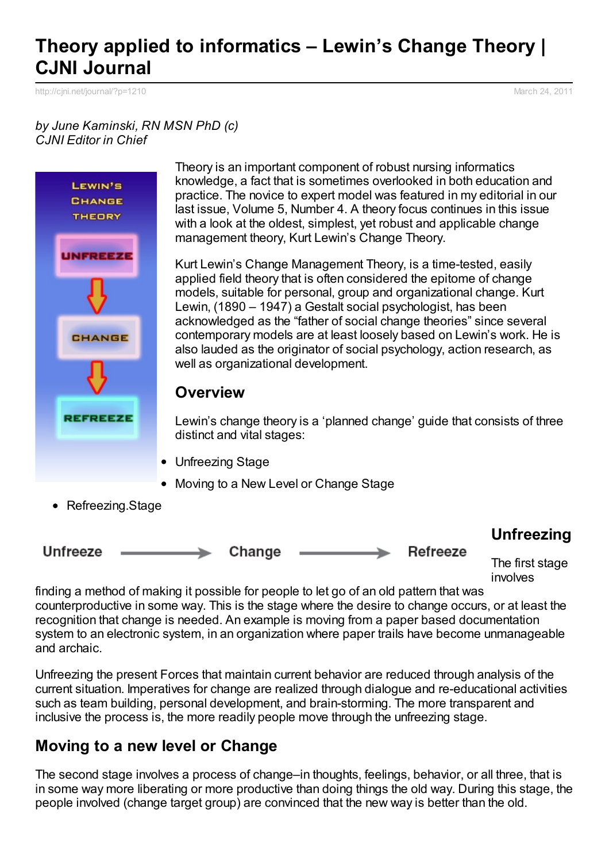# **Theory applied to informatics – Lewin's Change Theory | CJNI Journal**

[http://cjni.net/journal/?p=1210](http://www.printfriendly.com/print/v2?url=http%3A%2F%2Fcjni.net%2Fjournal%2F%3Fp%3D1210) March 24, 2011

#### *by June Kaminski, RN MSN PhD (c) CJNI Editor in Chief*



Theory is an important component of robust nursing informatics knowledge, a fact that is sometimes overlooked in both education and practice. The novice to expert model was featured in my editorial in our last issue, Volume 5, Number 4. A theory focus continues in this issue with a look at the oldest, simplest, yet robust and applicable change management theory, Kurt Lewin's Change Theory.

Kurt Lewin's Change Management Theory, is a time-tested, easily applied field theory that is often considered the epitome of change models, suitable for personal, group and organizational change. Kurt Lewin, (1890 – 1947) a Gestalt social psychologist, has been acknowledged as the "father of social change theories" since several contemporary models are at least loosely based on Lewin's work. He is also lauded as the originator of social psychology, action research, as well as organizational development.

#### **Overview**

Lewin's change theory is a 'planned change' guide that consists of three distinct and vital stages:

- Unfreezing Stage
- Moving to a New Level or Change Stage
- Refreezing.Stage



involves

finding a method of making it possible for people to let go of an old pattern that was counterproductive in some way. This is the stage where the desire to change occurs, or at least the recognition that change is needed. An example is moving from a paper based documentation system to an electronic system, in an organization where paper trails have become unmanageable and archaic.

Unfreezing the present Forces that maintain current behavior are reduced through analysis of the current situation. Imperatives for change are realized through dialogue and re-educational activities such as team building, personal development, and brain-storming. The more transparent and inclusive the process is, the more readily people move through the unfreezing stage.

### **Moving to a new level or Change**

The second stage involves a process of change–in thoughts, feelings, behavior, or all three, that is in some way more liberating or more productive than doing things the old way. During this stage, the people involved (change target group) are convinced that the new way is better than the old.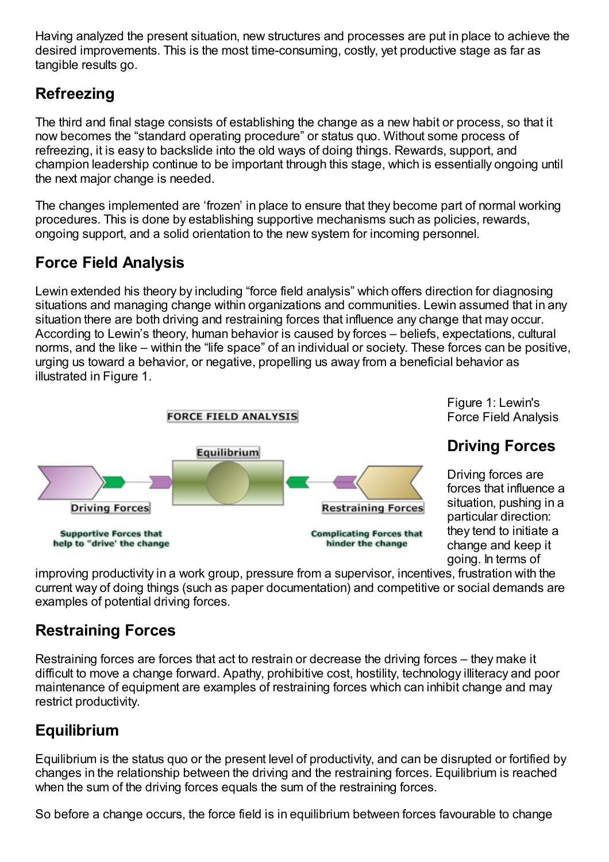Having analyzed the present situation, new structures and processes are put in place to achieve the desired improvements. This is the most time-consuming, costly, yet productive stage as far as tangible results go.

### **Refreezing**

The third and final stage consists of establishing the change as a new habit or process, so that it now becomes the "standard operating procedure" or status quo. Without some process of refreezing, it is easy to backslide into the old ways of doing things. Rewards, support, and champion leadership continue to be important through this stage, which is essentially ongoing until the next major change is needed.

The changes implemented are 'frozen' in place to ensure that they become part of normal working procedures. This is done by establishing supportive mechanisms such as policies, rewards, ongoing support, and a solid orientation to the new system for incoming personnel.

## **Force Field Analysis**

Lewin extended his theory by including "force field analysis" which offers direction for diagnosing situations and managing change within organizations and communities. Lewin assumed that in any situation there are both driving and restraining forces that influence any change that may occur. According to Lewin's theory, human behavior is caused by forces – beliefs, expectations, cultural norms, and the like – within the "life space" of an individual or society. These forces can be positive, urging us toward a behavior, or negative, propelling us away from a beneficial behavior as illustrated in Figure 1.



Figure 1: Lewin's Force Field Analysis

## **Driving Forces**

Driving forces are forces that influence a situation, pushing in a particular direction: they tend to initiate a change and keep it going. In terms of

improving productivity in a work group, pressure from a supervisor, incentives, frustration with the current way of doing things (such as paper documentation) and competitive or social demands are examples of potential driving forces.

## **Restraining Forces**

Restraining forces are forces that act to restrain or decrease the driving forces – they make it difficult to move a change forward. Apathy, prohibitive cost, hostility, technology illiteracy and poor maintenance of equipment are examples of restraining forces which can inhibit change and may restrict productivity.

# **Equilibrium**

Equilibrium is the status quo or the present level of productivity, and can be disrupted or fortified by changes in the relationship between the driving and the restraining forces. Equilibrium is reached when the sum of the driving forces equals the sum of the restraining forces.

So before a change occurs, the force field is in equilibrium between forces favourable to change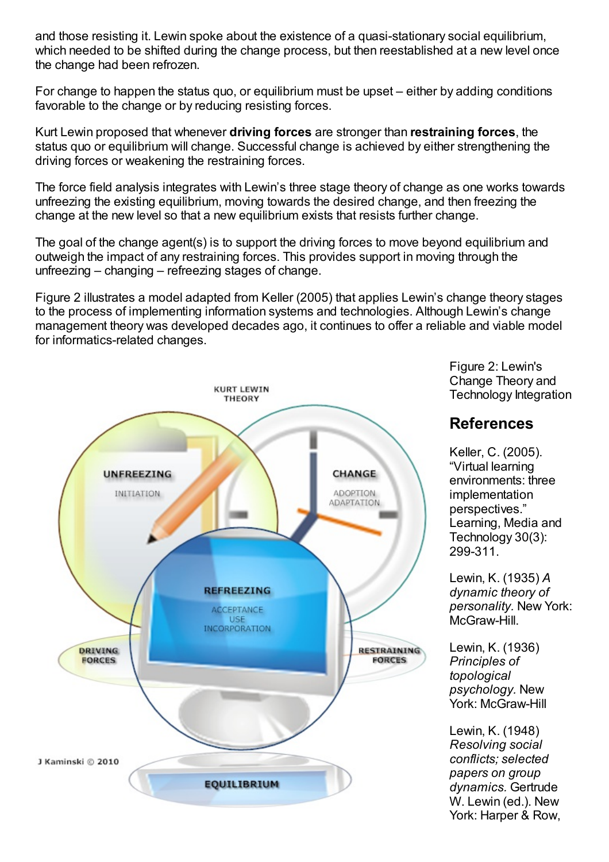and those resisting it. Lewin spoke about the existence of a quasi-stationary social equilibrium, which needed to be shifted during the change process, but then reestablished at a new level once the change had been refrozen.

For change to happen the status quo, or equilibrium must be upset – either by adding conditions favorable to the change or by reducing resisting forces.

Kurt Lewin proposed that whenever **driving forces** are stronger than **restraining forces**, the status quo or equilibrium will change. Successful change is achieved by either strengthening the driving forces or weakening the restraining forces.

The force field analysis integrates with Lewin's three stage theory of change as one works towards unfreezing the existing equilibrium, moving towards the desired change, and then freezing the change at the new level so that a new equilibrium exists that resists further change.

The goal of the change agent(s) is to support the driving forces to move beyond equilibrium and outweigh the impact of any restraining forces. This provides support in moving through the unfreezing – changing – refreezing stages of change.

Figure 2 illustrates a model adapted from Keller (2005) that applies Lewin's change theory stages to the process of implementing information systems and technologies. Although Lewin's change management theory was developed decades ago, it continues to offer a reliable and viable model for informatics-related changes.



Figure 2: Lewin's Change Theory and Technology Integration

#### **References**

Keller, C. (2005). "Virtual learning environments: three implementation perspectives." Learning, Media and Technology 30(3): 299-311.

Lewin, K. (1935) *A dynamic theory of personality.* New York: McGraw-Hill.

Lewin, K. (1936) *Principles of topological psychology.* New York: McGraw-Hill

Lewin, K. (1948) *Resolving social conflicts; selected papers on group dynamics.* Gertrude W. Lewin (ed.). New York: Harper & Row,